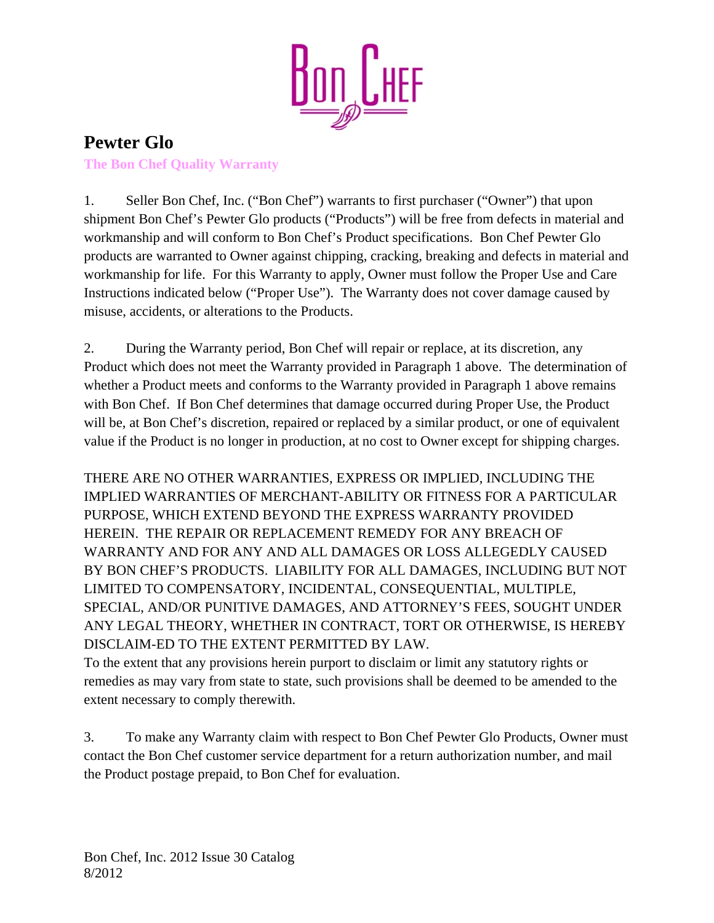

## **Pewter Glo The Bon Chef Quality Warranty**

1. Seller Bon Chef, Inc. ("Bon Chef") warrants to first purchaser ("Owner") that upon shipment Bon Chef's Pewter Glo products ("Products") will be free from defects in material and workmanship and will conform to Bon Chef's Product specifications. Bon Chef Pewter Glo products are warranted to Owner against chipping, cracking, breaking and defects in material and workmanship for life. For this Warranty to apply, Owner must follow the Proper Use and Care Instructions indicated below ("Proper Use"). The Warranty does not cover damage caused by misuse, accidents, or alterations to the Products.

2. During the Warranty period, Bon Chef will repair or replace, at its discretion, any Product which does not meet the Warranty provided in Paragraph 1 above. The determination of whether a Product meets and conforms to the Warranty provided in Paragraph 1 above remains with Bon Chef. If Bon Chef determines that damage occurred during Proper Use, the Product will be, at Bon Chef's discretion, repaired or replaced by a similar product, or one of equivalent value if the Product is no longer in production, at no cost to Owner except for shipping charges.

THERE ARE NO OTHER WARRANTIES, EXPRESS OR IMPLIED, INCLUDING THE IMPLIED WARRANTIES OF MERCHANT-ABILITY OR FITNESS FOR A PARTICULAR PURPOSE, WHICH EXTEND BEYOND THE EXPRESS WARRANTY PROVIDED HEREIN. THE REPAIR OR REPLACEMENT REMEDY FOR ANY BREACH OF WARRANTY AND FOR ANY AND ALL DAMAGES OR LOSS ALLEGEDLY CAUSED BY BON CHEF'S PRODUCTS. LIABILITY FOR ALL DAMAGES, INCLUDING BUT NOT LIMITED TO COMPENSATORY, INCIDENTAL, CONSEQUENTIAL, MULTIPLE, SPECIAL, AND/OR PUNITIVE DAMAGES, AND ATTORNEY'S FEES, SOUGHT UNDER ANY LEGAL THEORY, WHETHER IN CONTRACT, TORT OR OTHERWISE, IS HEREBY DISCLAIM-ED TO THE EXTENT PERMITTED BY LAW.

To the extent that any provisions herein purport to disclaim or limit any statutory rights or remedies as may vary from state to state, such provisions shall be deemed to be amended to the extent necessary to comply therewith.

3. To make any Warranty claim with respect to Bon Chef Pewter Glo Products, Owner must contact the Bon Chef customer service department for a return authorization number, and mail the Product postage prepaid, to Bon Chef for evaluation.